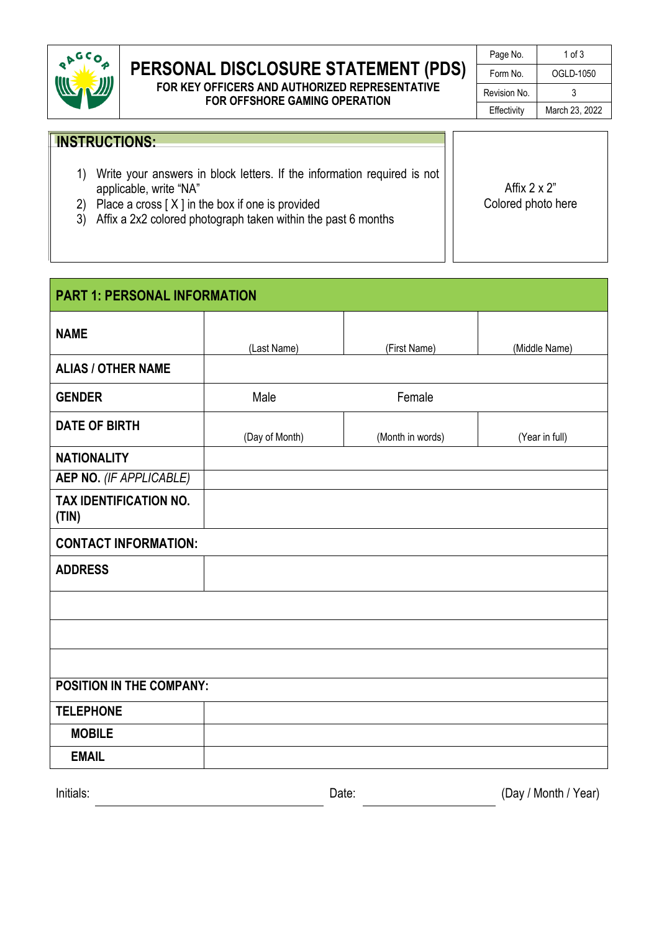

## **PERSONAL DISCLOSURE STATEMENT (PDS)**

#### **FOR KEY OFFICERS AND AUTHORIZED REPRESENTATIVE FOR OFFSHORE GAMING OPERATION**

| Page No.     | 1 of 3         |
|--------------|----------------|
| Form No.     | OGLD-1050      |
| Revision No. | 3              |
| Effectivity  | March 23, 2022 |

### **INSTRUCTIONS:**

- 1) Write your answers in block letters. If the information required is not applicable, write "NA"
- 2) Place a cross  $[X]$  in the box if one is provided
- 3) Affix a 2x2 colored photograph taken within the past 6 months

Affix  $2 \times 2$ " Colored photo here

| <b>PART 1: PERSONAL INFORMATION</b>    |                                    |              |                      |  |  |
|----------------------------------------|------------------------------------|--------------|----------------------|--|--|
| <b>NAME</b>                            | (Last Name)                        | (First Name) | (Middle Name)        |  |  |
| <b>ALIAS / OTHER NAME</b>              |                                    |              |                      |  |  |
| <b>GENDER</b>                          | Female<br>Male                     |              |                      |  |  |
| <b>DATE OF BIRTH</b>                   | (Day of Month)<br>(Month in words) |              | (Year in full)       |  |  |
| <b>NATIONALITY</b>                     |                                    |              |                      |  |  |
| <b>AEP NO.</b> (IF APPLICABLE)         |                                    |              |                      |  |  |
| <b>TAX IDENTIFICATION NO.</b><br>(TIN) |                                    |              |                      |  |  |
| <b>CONTACT INFORMATION:</b>            |                                    |              |                      |  |  |
| <b>ADDRESS</b>                         |                                    |              |                      |  |  |
|                                        |                                    |              |                      |  |  |
|                                        |                                    |              |                      |  |  |
|                                        |                                    |              |                      |  |  |
| <b>POSITION IN THE COMPANY:</b>        |                                    |              |                      |  |  |
| <b>TELEPHONE</b>                       |                                    |              |                      |  |  |
| <b>MOBILE</b>                          |                                    |              |                      |  |  |
| <b>EMAIL</b>                           |                                    |              |                      |  |  |
| Initials:                              |                                    | Date:        | (Day / Month / Year) |  |  |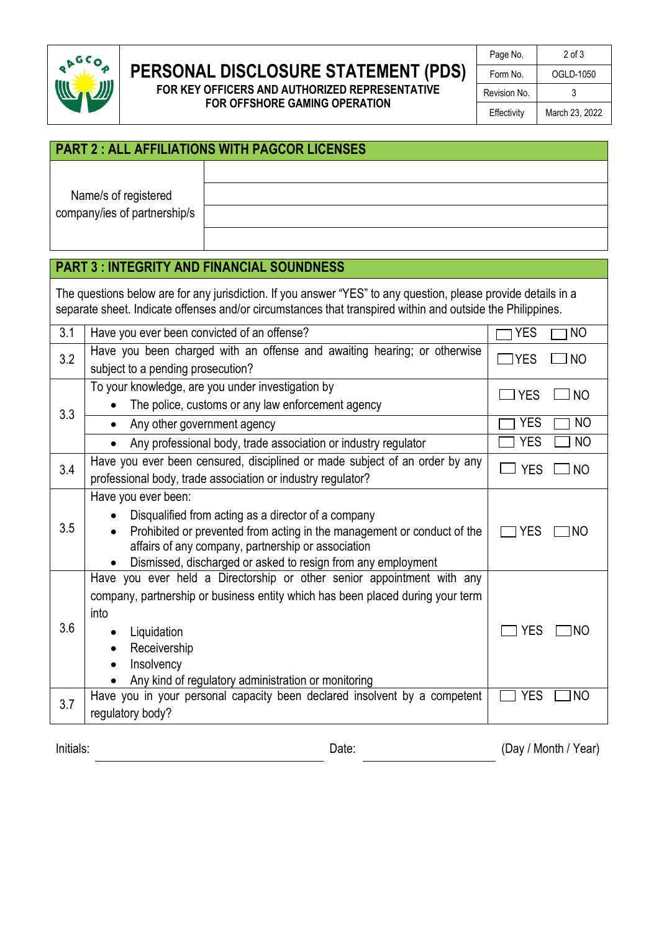

# **PERSONAL DISCLOSURE STATEMENT (PDS)**

**FOR KEY OFFICERS AND AUTHORIZED REPRESENTATIVE FOR OFFSHORE GAMING OPERATION**

| Page No.     | $2$ of $3$     |  |
|--------------|----------------|--|
| Form No.     | OGLD-1050      |  |
| Revision No. | 3              |  |
| Effectivity  | March 23, 2022 |  |

| <b>PART 2: ALL AFFILIATIONS WITH PAGCOR LICENSES</b> |  |  |  |
|------------------------------------------------------|--|--|--|
| Name/s of registered                                 |  |  |  |
| company/ies of partnership/s                         |  |  |  |
|                                                      |  |  |  |

### **PART 3 : INTEGRITY AND FINANCIAL SOUNDNESS**

The questions below are for any jurisdiction. If you answer "YES" to any question, please provide details in a separate sheet. Indicate offenses and/or circumstances that transpired within and outside the Philippines.

| 3.1 | Have you ever been convicted of an offense?                                                                                                                                                                                                                                 | <b>YES</b><br>N <sub>O</sub> |
|-----|-----------------------------------------------------------------------------------------------------------------------------------------------------------------------------------------------------------------------------------------------------------------------------|------------------------------|
| 3.2 | Have you been charged with an offense and awaiting hearing; or otherwise<br>subject to a pending prosecution?                                                                                                                                                               | $\Box$ YES<br><b>NO</b>      |
| 3.3 | To your knowledge, are you under investigation by<br>The police, customs or any law enforcement agency                                                                                                                                                                      | <b>NO</b><br><b>YES</b>      |
|     | Any other government agency                                                                                                                                                                                                                                                 | <b>YES</b><br>N <sub>O</sub> |
|     | Any professional body, trade association or industry regulator                                                                                                                                                                                                              | <b>YES</b><br><b>NO</b>      |
| 3.4 | Have you ever been censured, disciplined or made subject of an order by any<br>professional body, trade association or industry regulator?                                                                                                                                  | <b>YES</b><br>J NO           |
| 3.5 | Have you ever been:<br>Disqualified from acting as a director of a company<br>Prohibited or prevented from acting in the management or conduct of the<br>affairs of any company, partnership or association<br>Dismissed, discharged or asked to resign from any employment | <b>YES</b><br>INO            |
| 3.6 | Have you ever held a Directorship or other senior appointment with any<br>company, partnership or business entity which has been placed during your term<br>into<br>Liquidation<br>Receivership<br>Insolvency<br>Any kind of regulatory administration or monitoring        | <b>YES</b><br>INO            |
| 3.7 | Have you in your personal capacity been declared insolvent by a competent<br>regulatory body?                                                                                                                                                                               | <b>YES</b><br><b>NO</b>      |

Initials: Changes of Changes Controller Changes Changes Changes Changes (Day / Month / Year)